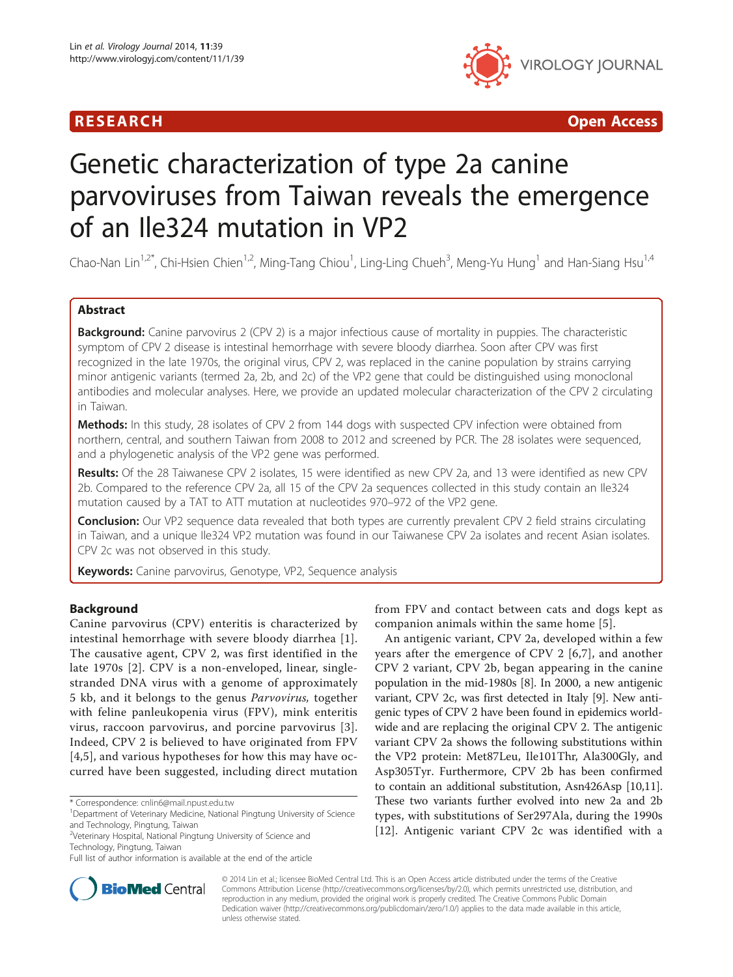# R E S EAR CH Open Access



# Genetic characterization of type 2a canine parvoviruses from Taiwan reveals the emergence of an Ile324 mutation in VP2

Chao-Nan Lin<sup>1,2\*</sup>, Chi-Hsien Chien<sup>1,2</sup>, Ming-Tang Chiou<sup>1</sup>, Ling-Ling Chueh<sup>3</sup>, Meng-Yu Hung<sup>1</sup> and Han-Siang Hsu<sup>1,4</sup>

# Abstract

**Background:** Canine parvovirus 2 (CPV 2) is a major infectious cause of mortality in puppies. The characteristic symptom of CPV 2 disease is intestinal hemorrhage with severe bloody diarrhea. Soon after CPV was first recognized in the late 1970s, the original virus, CPV 2, was replaced in the canine population by strains carrying minor antigenic variants (termed 2a, 2b, and 2c) of the VP2 gene that could be distinguished using monoclonal antibodies and molecular analyses. Here, we provide an updated molecular characterization of the CPV 2 circulating in Taiwan.

Methods: In this study, 28 isolates of CPV 2 from 144 dogs with suspected CPV infection were obtained from northern, central, and southern Taiwan from 2008 to 2012 and screened by PCR. The 28 isolates were sequenced, and a phylogenetic analysis of the VP2 gene was performed.

Results: Of the 28 Taiwanese CPV 2 isolates, 15 were identified as new CPV 2a, and 13 were identified as new CPV 2b. Compared to the reference CPV 2a, all 15 of the CPV 2a sequences collected in this study contain an Ile324 mutation caused by a TAT to ATT mutation at nucleotides 970–972 of the VP2 gene.

**Conclusion:** Our VP2 sequence data revealed that both types are currently prevalent CPV 2 field strains circulating in Taiwan, and a unique Ile324 VP2 mutation was found in our Taiwanese CPV 2a isolates and recent Asian isolates. CPV 2c was not observed in this study.

Keywords: Canine parvovirus, Genotype, VP2, Sequence analysis

# Background

Canine parvovirus (CPV) enteritis is characterized by intestinal hemorrhage with severe bloody diarrhea [[1](#page-4-0)]. The causative agent, CPV 2, was first identified in the late 1970s [[2](#page-4-0)]. CPV is a non-enveloped, linear, singlestranded DNA virus with a genome of approximately 5 kb, and it belongs to the genus Parvovirus, together with feline panleukopenia virus (FPV), mink enteritis virus, raccoon parvovirus, and porcine parvovirus [[3](#page-4-0)]. Indeed, CPV 2 is believed to have originated from FPV [[4,5\]](#page-5-0), and various hypotheses for how this may have occurred have been suggested, including direct mutation

<sup>2</sup>Veterinary Hospital, National Pingtung University of Science and



An antigenic variant, CPV 2a, developed within a few years after the emergence of CPV 2 [\[6](#page-5-0),[7\]](#page-5-0), and another CPV 2 variant, CPV 2b, began appearing in the canine population in the mid-1980s [\[8](#page-5-0)]. In 2000, a new antigenic variant, CPV 2c, was first detected in Italy [\[9](#page-5-0)]. New antigenic types of CPV 2 have been found in epidemics worldwide and are replacing the original CPV 2. The antigenic variant CPV 2a shows the following substitutions within the VP2 protein: Met87Leu, Ile101Thr, Ala300Gly, and Asp305Tyr. Furthermore, CPV 2b has been confirmed to contain an additional substitution, Asn426Asp [\[10,11](#page-5-0)]. These two variants further evolved into new 2a and 2b types, with substitutions of Ser297Ala, during the 1990s [[12\]](#page-5-0). Antigenic variant CPV 2c was identified with a



© 2014 Lin et al.; licensee BioMed Central Ltd. This is an Open Access article distributed under the terms of the Creative Commons Attribution License [\(http://creativecommons.org/licenses/by/2.0\)](http://creativecommons.org/licenses/by/2.0), which permits unrestricted use, distribution, and reproduction in any medium, provided the original work is properly credited. The Creative Commons Public Domain Dedication waiver [\(http://creativecommons.org/publicdomain/zero/1.0/](http://creativecommons.org/publicdomain/zero/1.0/)) applies to the data made available in this article, unless otherwise stated.

<sup>\*</sup> Correspondence: [cnlin6@mail.npust.edu.tw](mailto:cnlin6@mail.npust.edu.tw) <sup>1</sup>

<sup>&</sup>lt;sup>1</sup>Department of Veterinary Medicine, National Pingtung University of Science and Technology, Pingtung, Taiwan

Technology, Pingtung, Taiwan

Full list of author information is available at the end of the article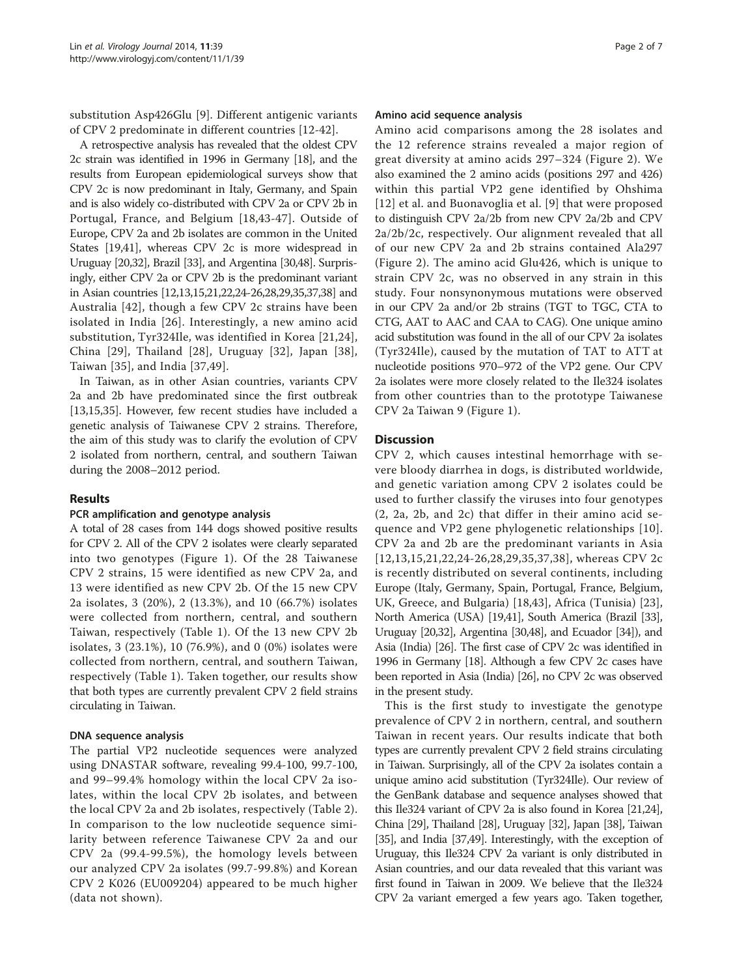substitution Asp426Glu [[9\]](#page-5-0). Different antigenic variants of CPV 2 predominate in different countries [[12-42\]](#page-5-0).

A retrospective analysis has revealed that the oldest CPV 2c strain was identified in 1996 in Germany [[18](#page-5-0)], and the results from European epidemiological surveys show that CPV 2c is now predominant in Italy, Germany, and Spain and is also widely co-distributed with CPV 2a or CPV 2b in Portugal, France, and Belgium [[18,43](#page-5-0)-[47](#page-5-0)]. Outside of Europe, CPV 2a and 2b isolates are common in the United States [\[19,41\]](#page-5-0), whereas CPV 2c is more widespread in Uruguay [\[20,32\]](#page-5-0), Brazil [\[33](#page-5-0)], and Argentina [[30,48](#page-5-0)]. Surprisingly, either CPV 2a or CPV 2b is the predominant variant in Asian countries [\[12,13,15,21,22,24](#page-5-0)-[26,28,29,35,37,38](#page-5-0)] and Australia [[42](#page-5-0)], though a few CPV 2c strains have been isolated in India [\[26\]](#page-5-0). Interestingly, a new amino acid substitution, Tyr324Ile, was identified in Korea [\[21,24](#page-5-0)], China [\[29\]](#page-5-0), Thailand [[28\]](#page-5-0), Uruguay [\[32](#page-5-0)], Japan [[38](#page-5-0)], Taiwan [[35](#page-5-0)], and India [[37,49](#page-5-0)].

In Taiwan, as in other Asian countries, variants CPV 2a and 2b have predominated since the first outbreak [[13,15,35\]](#page-5-0). However, few recent studies have included a genetic analysis of Taiwanese CPV 2 strains. Therefore, the aim of this study was to clarify the evolution of CPV 2 isolated from northern, central, and southern Taiwan during the 2008–2012 period.

# Results

#### PCR amplification and genotype analysis

A total of 28 cases from 144 dogs showed positive results for CPV 2. All of the CPV 2 isolates were clearly separated into two genotypes (Figure [1](#page-2-0)). Of the 28 Taiwanese CPV 2 strains, 15 were identified as new CPV 2a, and 13 were identified as new CPV 2b. Of the 15 new CPV 2a isolates, 3 (20%), 2 (13.3%), and 10 (66.7%) isolates were collected from northern, central, and southern Taiwan, respectively (Table [1\)](#page-3-0). Of the 13 new CPV 2b isolates, 3 (23.1%), 10 (76.9%), and 0 (0%) isolates were collected from northern, central, and southern Taiwan, respectively (Table [1\)](#page-3-0). Taken together, our results show that both types are currently prevalent CPV 2 field strains circulating in Taiwan.

#### DNA sequence analysis

The partial VP2 nucleotide sequences were analyzed using DNASTAR software, revealing 99.4-100, 99.7-100, and 99–99.4% homology within the local CPV 2a isolates, within the local CPV 2b isolates, and between the local CPV 2a and 2b isolates, respectively (Table [2\)](#page-3-0). In comparison to the low nucleotide sequence similarity between reference Taiwanese CPV 2a and our CPV 2a (99.4-99.5%), the homology levels between our analyzed CPV 2a isolates (99.7-99.8%) and Korean CPV 2 K026 (EU009204) appeared to be much higher (data not shown).

#### Amino acid sequence analysis

Amino acid comparisons among the 28 isolates and the 12 reference strains revealed a major region of great diversity at amino acids 297–324 (Figure [2\)](#page-4-0). We also examined the 2 amino acids (positions 297 and 426) within this partial VP2 gene identified by Ohshima [[12](#page-5-0)] et al. and Buonavoglia et al. [[9](#page-5-0)] that were proposed to distinguish CPV 2a/2b from new CPV 2a/2b and CPV 2a/2b/2c, respectively. Our alignment revealed that all of our new CPV 2a and 2b strains contained Ala297 (Figure [2](#page-4-0)). The amino acid Glu426, which is unique to strain CPV 2c, was no observed in any strain in this study. Four nonsynonymous mutations were observed in our CPV 2a and/or 2b strains (TGT to TGC, CTA to CTG, AAT to AAC and CAA to CAG). One unique amino acid substitution was found in the all of our CPV 2a isolates (Tyr324Ile), caused by the mutation of TAT to ATT at nucleotide positions 970–972 of the VP2 gene. Our CPV 2a isolates were more closely related to the Ile324 isolates from other countries than to the prototype Taiwanese CPV 2a Taiwan 9 (Figure [1](#page-2-0)).

### **Discussion**

CPV 2, which causes intestinal hemorrhage with severe bloody diarrhea in dogs, is distributed worldwide, and genetic variation among CPV 2 isolates could be used to further classify the viruses into four genotypes (2, 2a, 2b, and 2c) that differ in their amino acid sequence and VP2 gene phylogenetic relationships [[10](#page-5-0)]. CPV 2a and 2b are the predominant variants in Asia [[12](#page-5-0),[13](#page-5-0),[15,21,22](#page-5-0),[24](#page-5-0)-[26](#page-5-0),[28,29,35](#page-5-0),[37,38\]](#page-5-0), whereas CPV 2c is recently distributed on several continents, including Europe (Italy, Germany, Spain, Portugal, France, Belgium, UK, Greece, and Bulgaria) [\[18,43](#page-5-0)], Africa (Tunisia) [\[23](#page-5-0)], North America (USA) [[19,41\]](#page-5-0), South America (Brazil [\[33](#page-5-0)], Uruguay [\[20,32](#page-5-0)], Argentina [[30,48](#page-5-0)], and Ecuador [\[34\]](#page-5-0)), and Asia (India) [[26](#page-5-0)]. The first case of CPV 2c was identified in 1996 in Germany [[18](#page-5-0)]. Although a few CPV 2c cases have been reported in Asia (India) [\[26](#page-5-0)], no CPV 2c was observed in the present study.

This is the first study to investigate the genotype prevalence of CPV 2 in northern, central, and southern Taiwan in recent years. Our results indicate that both types are currently prevalent CPV 2 field strains circulating in Taiwan. Surprisingly, all of the CPV 2a isolates contain a unique amino acid substitution (Tyr324Ile). Our review of the GenBank database and sequence analyses showed that this Ile324 variant of CPV 2a is also found in Korea [[21,24](#page-5-0)], China [\[29\]](#page-5-0), Thailand [[28](#page-5-0)], Uruguay [[32](#page-5-0)], Japan [\[38\]](#page-5-0), Taiwan [[35](#page-5-0)], and India [\[37,49\]](#page-5-0). Interestingly, with the exception of Uruguay, this Ile324 CPV 2a variant is only distributed in Asian countries, and our data revealed that this variant was first found in Taiwan in 2009. We believe that the Ile324 CPV 2a variant emerged a few years ago. Taken together,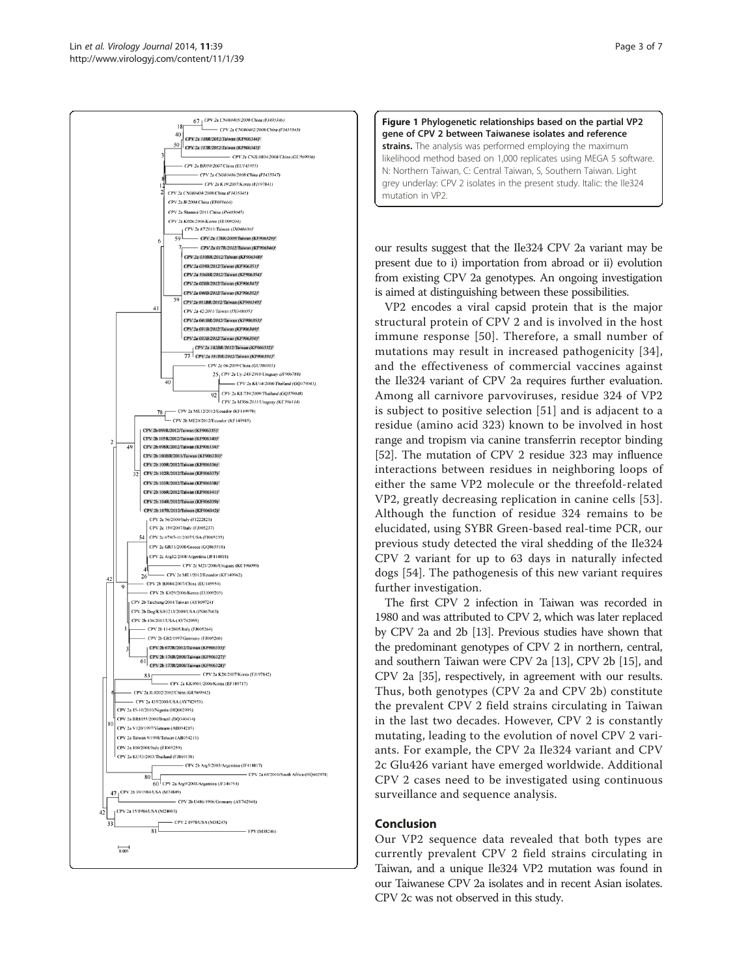<span id="page-2-0"></span>



our results suggest that the Ile324 CPV 2a variant may be present due to i) importation from abroad or ii) evolution from existing CPV 2a genotypes. An ongoing investigation is aimed at distinguishing between these possibilities.

VP2 encodes a viral capsid protein that is the major structural protein of CPV 2 and is involved in the host immune response [[50](#page-6-0)]. Therefore, a small number of mutations may result in increased pathogenicity [[34\]](#page-5-0), and the effectiveness of commercial vaccines against the Ile324 variant of CPV 2a requires further evaluation. Among all carnivore parvoviruses, residue 324 of VP2 is subject to positive selection [[51](#page-6-0)] and is adjacent to a residue (amino acid 323) known to be involved in host range and tropism via canine transferrin receptor binding [[52](#page-6-0)]. The mutation of CPV 2 residue 323 may influence interactions between residues in neighboring loops of either the same VP2 molecule or the threefold-related VP2, greatly decreasing replication in canine cells [[53](#page-6-0)]. Although the function of residue 324 remains to be elucidated, using SYBR Green-based real-time PCR, our previous study detected the viral shedding of the Ile324 CPV 2 variant for up to 63 days in naturally infected dogs [[54](#page-6-0)]. The pathogenesis of this new variant requires further investigation.

The first CPV 2 infection in Taiwan was recorded in 1980 and was attributed to CPV 2, which was later replaced by CPV 2a and 2b [[13](#page-5-0)]. Previous studies have shown that the predominant genotypes of CPV 2 in northern, central, and southern Taiwan were CPV 2a [\[13\]](#page-5-0), CPV 2b [\[15\]](#page-5-0), and CPV 2a [\[35\]](#page-5-0), respectively, in agreement with our results. Thus, both genotypes (CPV 2a and CPV 2b) constitute the prevalent CPV 2 field strains circulating in Taiwan in the last two decades. However, CPV 2 is constantly mutating, leading to the evolution of novel CPV 2 variants. For example, the CPV 2a Ile324 variant and CPV 2c Glu426 variant have emerged worldwide. Additional CPV 2 cases need to be investigated using continuous surveillance and sequence analysis.

# Conclusion

Our VP2 sequence data revealed that both types are currently prevalent CPV 2 field strains circulating in Taiwan, and a unique Ile324 VP2 mutation was found in our Taiwanese CPV 2a isolates and in recent Asian isolates. CPV 2c was not observed in this study.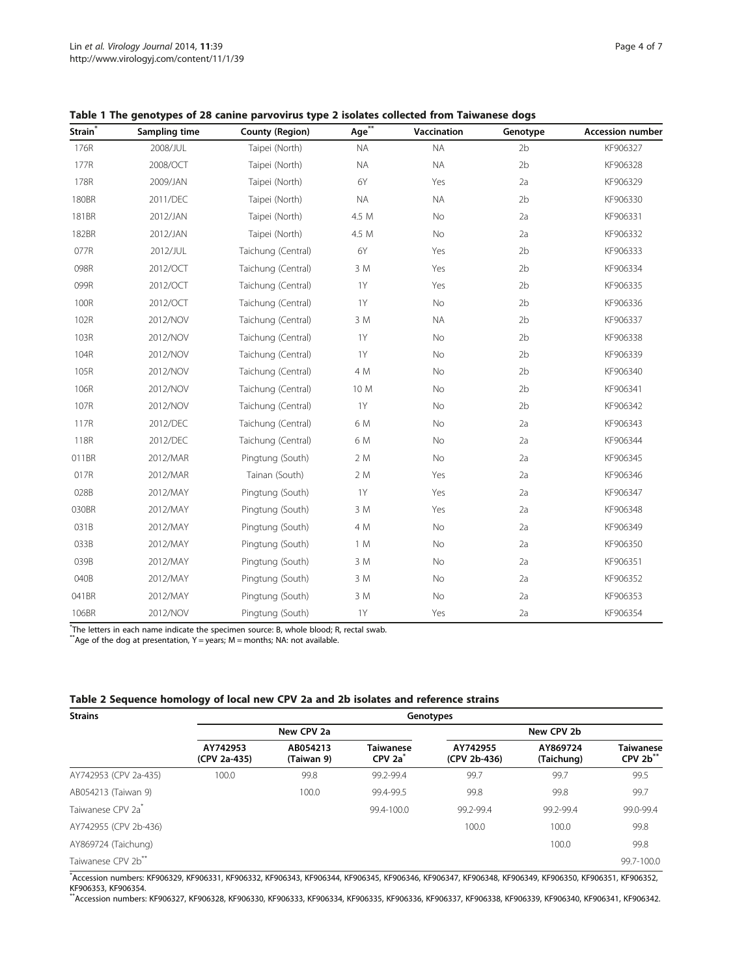| Strain <sup>*</sup> | Sampling time | <b>County (Region)</b> | Age**     | Vaccination | Genotype       | <b>Accession number</b> |
|---------------------|---------------|------------------------|-----------|-------------|----------------|-------------------------|
| 176R                | 2008/JUL      | Taipei (North)         | <b>NA</b> | <b>NA</b>   | 2 <sub>b</sub> | KF906327                |
| 177R                | 2008/OCT      | Taipei (North)         | <b>NA</b> | <b>NA</b>   | 2 <sub>b</sub> | KF906328                |
| 178R                | 2009/JAN      | Taipei (North)         | 6Y        | Yes         | 2a             | KF906329                |
| 180BR               | 2011/DEC      | Taipei (North)         | <b>NA</b> | <b>NA</b>   | 2 <sub>b</sub> | KF906330                |
| 181BR               | 2012/JAN      | Taipei (North)         | 4.5 M     | No          | 2a             | KF906331                |
| 182BR               | 2012/JAN      | Taipei (North)         | 4.5 M     | No          | 2a             | KF906332                |
| 077R                | 2012/JUL      | Taichung (Central)     | 6Y        | Yes         | 2 <sub>b</sub> | KF906333                |
| 098R                | 2012/OCT      | Taichung (Central)     | 3 M       | Yes         | 2 <sub>b</sub> | KF906334                |
| 099R                | 2012/OCT      | Taichung (Central)     | 1Y        | Yes         | 2 <sub>b</sub> | KF906335                |
| 100R                | 2012/OCT      | Taichung (Central)     | <b>1Y</b> | No          | 2 <sub>b</sub> | KF906336                |
| 102R                | 2012/NOV      | Taichung (Central)     | 3 M       | <b>NA</b>   | 2 <sub>b</sub> | KF906337                |
| 103R                | 2012/NOV      | Taichung (Central)     | <b>1Y</b> | <b>No</b>   | 2 <sub>b</sub> | KF906338                |
| 104R                | 2012/NOV      | Taichung (Central)     | <b>1Y</b> | No          | 2 <sub>b</sub> | KF906339                |
| 105R                | 2012/NOV      | Taichung (Central)     | 4 M       | No          | 2 <sub>b</sub> | KF906340                |
| 106R                | 2012/NOV      | Taichung (Central)     | 10 M      | No          | 2 <sub>b</sub> | KF906341                |
| 107R                | 2012/NOV      | Taichung (Central)     | <b>1Y</b> | No          | 2 <sub>b</sub> | KF906342                |
| 117R                | 2012/DEC      | Taichung (Central)     | 6 M       | <b>No</b>   | 2a             | KF906343                |
| 118R                | 2012/DEC      | Taichung (Central)     | 6 M       | No          | 2a             | KF906344                |
| 011BR               | 2012/MAR      | Pingtung (South)       | 2 M       | <b>No</b>   | 2a             | KF906345                |
| 017R                | 2012/MAR      | Tainan (South)         | 2 M       | Yes         | 2a             | KF906346                |
| 028B                | 2012/MAY      | Pingtung (South)       | 1Y        | Yes         | 2a             | KF906347                |
| 030BR               | 2012/MAY      | Pingtung (South)       | 3 M       | Yes         | 2a             | KF906348                |
| 031B                | 2012/MAY      | Pingtung (South)       | 4 M       | No          | 2a             | KF906349                |
| 033B                | 2012/MAY      | Pingtung (South)       | 1 M       | No          | 2a             | KF906350                |
| 039B                | 2012/MAY      | Pingtung (South)       | 3 M       | No          | 2a             | KF906351                |
| 040B                | 2012/MAY      | Pingtung (South)       | 3 M       | No          | 2a             | KF906352                |
| 041BR               | 2012/MAY      | Pingtung (South)       | 3 M       | No          | 2a             | KF906353                |
| 106BR               | 2012/NOV      | Pingtung (South)       | <b>1Y</b> | Yes         | 2a             | KF906354                |

<span id="page-3-0"></span>Table 1 The genotypes of 28 canine parvovirus type 2 isolates collected from Taiwanese dogs

\* The letters in each name indicate the specimen source: B, whole blood; R, rectal swab. \*\*Age of the dog at presentation, Y = years; M = months; NA: not available.

| <b>Strains</b>                 | Genotypes                |                        |                                                    |                          |                        |                                |  |  |  |  |
|--------------------------------|--------------------------|------------------------|----------------------------------------------------|--------------------------|------------------------|--------------------------------|--|--|--|--|
|                                | New CPV 2a               |                        |                                                    | New CPV 2b               |                        |                                |  |  |  |  |
|                                | AY742953<br>(CPV 2a-435) | AB054213<br>(Taiwan 9) | <b>Taiwanese</b><br>CPV <sub>2a</sub> <sup>*</sup> | AY742955<br>(CPV 2b-436) | AY869724<br>(Taichung) | <b>Taiwanese</b><br>$CPV 2b**$ |  |  |  |  |
| AY742953 (CPV 2a-435)          | 100.0                    | 99.8                   | 99.2-99.4                                          | 99.7                     | 99.7                   | 99.5                           |  |  |  |  |
| AB054213 (Taiwan 9)            |                          | 100.0                  | 99.4-99.5                                          | 99.8                     | 99.8                   | 99.7                           |  |  |  |  |
| Taiwanese CPV 2a <sup>*</sup>  |                          |                        | 99.4-100.0                                         | 99.2-99.4                | 99.2-99.4              | 99.0-99.4                      |  |  |  |  |
| AY742955 (CPV 2b-436)          |                          |                        |                                                    | 100.0                    | 100.0                  | 99.8                           |  |  |  |  |
| AY869724 (Taichung)            |                          |                        |                                                    |                          | 100.0                  | 99.8                           |  |  |  |  |
| Taiwanese CPV 2b <sup>**</sup> |                          |                        |                                                    |                          |                        | 99.7-100.0                     |  |  |  |  |

\* Accession numbers: KF906329, KF906331, KF906332, KF906343, KF906344, KF906345, KF906346, KF906347, KF906348, KF906349, KF906350, KF906351, KF906352, KF906353, KF906354.

\*\*Accession numbers: KF906327, KF906328, KF906330, KF906333, KF906334, KF906335, KF906336, KF906337, KF906338, KF906339, KF906340, KF906341, KF906342.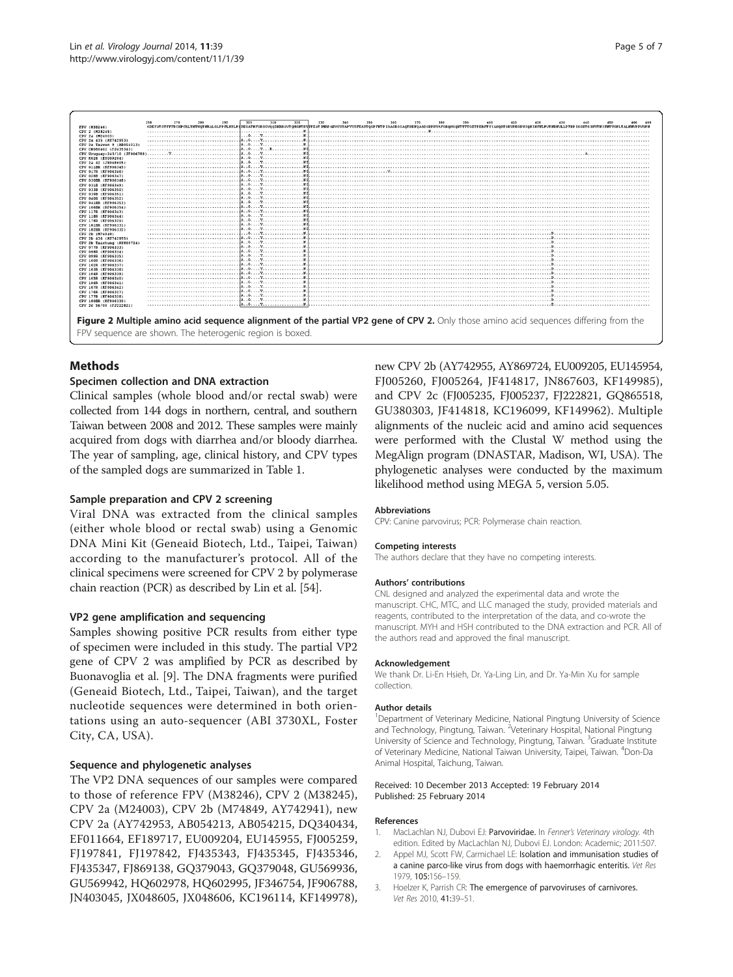<span id="page-4-0"></span>

# **Mathods**

# Specimen collection and DNA extraction

Clinical samples (whole blood and/or rectal swab) were collected from 144 dogs in northern, central, and southern Taiwan between 2008 and 2012. These samples were mainly acquired from dogs with diarrhea and/or bloody diarrhea. The year of sampling, age, clinical history, and CPV types of the sampled dogs are summarized in Table [1](#page-3-0).

## Sample preparation and CPV 2 screening

Viral DNA was extracted from the clinical samples (either whole blood or rectal swab) using a Genomic DNA Mini Kit (Geneaid Biotech, Ltd., Taipei, Taiwan) according to the manufacturer's protocol. All of the clinical specimens were screened for CPV 2 by polymerase chain reaction (PCR) as described by Lin et al. [[54](#page-6-0)].

#### VP2 gene amplification and sequencing

Samples showing positive PCR results from either type of specimen were included in this study. The partial VP2 gene of CPV 2 was amplified by PCR as described by Buonavoglia et al. [\[9](#page-5-0)]. The DNA fragments were purified (Geneaid Biotech, Ltd., Taipei, Taiwan), and the target nucleotide sequences were determined in both orientations using an auto-sequencer (ABI 3730XL, Foster City, CA, USA).

#### Sequence and phylogenetic analyses

The VP2 DNA sequences of our samples were compared to those of reference FPV (M38246), CPV 2 (M38245), CPV 2a (M24003), CPV 2b (M74849, AY742941), new CPV 2a (AY742953, AB054213, AB054215, DQ340434, EF011664, EF189717, EU009204, EU145955, FJ005259, FJ197841, FJ197842, FJ435343, FJ435345, FJ435346, FJ435347, FJ869138, GQ379043, GQ379048, GU569936, GU569942, HQ602978, HQ602995, JF346754, JF906788, JN403045, JX048605, JX048606, KC196114, KF149978),

new CPV 2b (AY742955, AY869724, EU009205, EU145954, FJ005260, FJ005264, JF414817, JN867603, KF149985), and CPV 2c (FJ005235, FJ005237, FJ222821, GQ865518, GU380303, JF414818, KC196099, KF149962). Multiple alignments of the nucleic acid and amino acid sequences were performed with the Clustal W method using the MegAlign program (DNASTAR, Madison, WI, USA). The phylogenetic analyses were conducted by the maximum likelihood method using MEGA 5, version 5.05.

#### Abbreviations

CPV: Canine parvovirus; PCR: Polymerase chain reaction.

#### Competing interests

The authors declare that they have no competing interests.

#### Authors' contributions

CNL designed and analyzed the experimental data and wrote the manuscript. CHC, MTC, and LLC managed the study, provided materials and reagents, contributed to the interpretation of the data, and co-wrote the manuscript. MYH and HSH contributed to the DNA extraction and PCR. All of the authors read and approved the final manuscript.

#### Acknowledgement

We thank Dr. Li-En Hsieh, Dr. Ya-Ling Lin, and Dr. Ya-Min Xu for sample collection.

#### Author details

<sup>1</sup>Department of Veterinary Medicine, National Pingtung University of Science and Technology, Pingtung, Taiwan. <sup>2</sup>Veterinary Hospital, National Pingtung University of Science and Technology, Pingtung, Taiwan. <sup>3</sup>Graduate Institute of Veterinary Medicine, National Taiwan University, Taipei, Taiwan. <sup>4</sup>Don-Da Animal Hospital, Taichung, Taiwan.

#### Received: 10 December 2013 Accepted: 19 February 2014 Published: 25 February 2014

#### References

- 1. MacLachlan NJ, Dubovi EJ: Parvoviridae. In Fenner's Veterinary virology. 4th edition. Edited by MacLachlan NJ, Dubovi EJ. London: Academic; 2011:507.
- 2. Appel MJ, Scott FW, Carmichael LE: Isolation and immunisation studies of a canine parco-like virus from dogs with haemorrhagic enteritis. Vet Res 1979, 105:156–159.
- 3. Hoelzer K, Parrish CR: The emergence of parvoviruses of carnivores. Vet Res 2010, 41:39–51.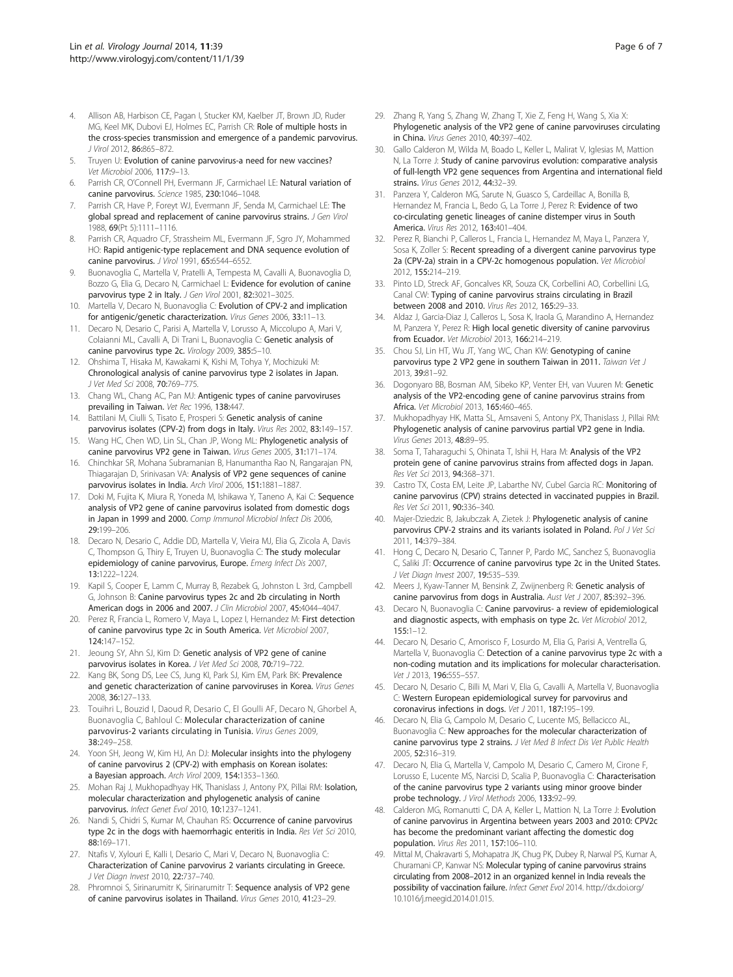- <span id="page-5-0"></span>4. Allison AB, Harbison CE, Pagan I, Stucker KM, Kaelber JT, Brown JD, Ruder MG, Keel MK, Dubovi EJ, Holmes EC, Parrish CR: Role of multiple hosts in the cross-species transmission and emergence of a pandemic parvovirus. J Virol 2012, 86:865–872.
- 5. Truyen U: Evolution of canine parvovirus-a need for new vaccines? Vet Microbiol 2006, 117:9–13.
- 6. Parrish CR, O'Connell PH, Evermann JF, Carmichael LE: Natural variation of canine parvovirus. Science 1985, 230:1046–1048.
- 7. Parrish CR, Have P, Foreyt WJ, Evermann JF, Senda M, Carmichael LE: The global spread and replacement of canine parvovirus strains. J Gen Virol 1988, 69(Pt 5):1111–1116.
- 8. Parrish CR, Aquadro CF, Strassheim ML, Evermann JF, Sgro JY, Mohammed HO: Rapid antigenic-type replacement and DNA sequence evolution of canine parvovirus. J Virol 1991, 65:6544–6552.
- 9. Buonavoglia C, Martella V, Pratelli A, Tempesta M, Cavalli A, Buonavoglia D, Bozzo G, Elia G, Decaro N, Carmichael L: Evidence for evolution of canine parvovirus type 2 in Italy. J Gen Virol 2001, 82:3021-3025.
- Martella V, Decaro N, Buonavoglia C: Evolution of CPV-2 and implication for antigenic/genetic characterization. Virus Genes 2006, 33:11–13.
- 11. Decaro N, Desario C, Parisi A, Martella V, Lorusso A, Miccolupo A, Mari V, Colaianni ML, Cavalli A, Di Trani L, Buonavoglia C: Genetic analysis of canine parvovirus type 2c. Virology 2009, 385:5–10.
- 12. Ohshima T, Hisaka M, Kawakami K, Kishi M, Tohya Y, Mochizuki M: Chronological analysis of canine parvovirus type 2 isolates in Japan. J Vet Med Sci 2008, 70:769-775.
- 13. Chang WL, Chang AC, Pan MJ: Antigenic types of canine parvoviruses prevailing in Taiwan. Vet Rec 1996, 138:447.
- 14. Battilani M, Ciulli S, Tisato E, Prosperi S: Genetic analysis of canine parvovirus isolates (CPV-2) from dogs in Italy. Virus Res 2002, 83:149-157.
- 15. Wang HC, Chen WD, Lin SL, Chan JP, Wong ML: Phylogenetic analysis of canine parvovirus VP2 gene in Taiwan. Virus Genes 2005, 31:171–174.
- 16. Chinchkar SR, Mohana Subramanian B, Hanumantha Rao N, Rangarajan PN, Thiagarajan D, Srinivasan VA: Analysis of VP2 gene sequences of canine parvovirus isolates in India. Arch Virol 2006, 151:1881-1887.
- 17. Doki M, Fujita K, Miura R, Yoneda M, Ishikawa Y, Taneno A, Kai C: Sequence analysis of VP2 gene of canine parvovirus isolated from domestic dogs in Japan in 1999 and 2000. Comp Immunol Microbiol Infect Dis 2006 29:199–206.
- 18. Decaro N, Desario C, Addie DD, Martella V, Vieira MJ, Elia G, Zicola A, Davis C, Thompson G, Thiry E, Truyen U, Buonavoglia C: The study molecular epidemiology of canine parvovirus, Europe. Emerg Infect Dis 2007, 13:1222–1224.
- 19. Kapil S, Cooper E, Lamm C, Murray B, Rezabek G, Johnston L 3rd, Campbell G, Johnson B: Canine parvovirus types 2c and 2b circulating in North American dogs in 2006 and 2007. J Clin Microbiol 2007, 45:4044–4047.
- 20. Perez R, Francia L, Romero V, Maya L, Lopez I, Hernandez M: First detection of canine parvovirus type 2c in South America. Vet Microbiol 2007, 124:147–152.
- 21. Jeoung SY, Ahn SJ, Kim D: Genetic analysis of VP2 gene of canine parvovirus isolates in Korea. J Vet Med Sci 2008, 70:719–722.
- 22. Kang BK, Song DS, Lee CS, Jung KI, Park SJ, Kim EM, Park BK: Prevalence and genetic characterization of canine parvoviruses in Korea. Virus Genes 2008, 36:127–133.
- 23. Touihri L, Bouzid I, Daoud R, Desario C, El Goulli AF, Decaro N, Ghorbel A, Buonavoglia C, Bahloul C: Molecular characterization of canine parvovirus-2 variants circulating in Tunisia. Virus Genes 2009, 38:249–258.
- 24. Yoon SH, Jeong W, Kim HJ, An DJ: Molecular insights into the phylogeny of canine parvovirus 2 (CPV-2) with emphasis on Korean isolates: a Bayesian approach. Arch Virol 2009, 154:1353–1360.
- 25. Mohan Raj J, Mukhopadhyay HK, Thanislass J, Antony PX, Pillai RM: Isolation, molecular characterization and phylogenetic analysis of canine parvovirus. Infect Genet Evol 2010, 10:1237-1241.
- 26. Nandi S, Chidri S, Kumar M, Chauhan RS: Occurrence of canine parvovirus type 2c in the dogs with haemorrhagic enteritis in India. Res Vet Sci 2010, 88:169–171.
- 27. Ntafis V, Xylouri E, Kalli I, Desario C, Mari V, Decaro N, Buonavoglia C: Characterization of Canine parvovirus 2 variants circulating in Greece. J Vet Diagn Invest 2010, 22:737–740.
- 28. Phromnoi S, Sirinarumitr K, Sirinarumitr T: Sequence analysis of VP2 gene of canine parvovirus isolates in Thailand. Virus Genes 2010, 41:23–29.
- 29. Zhang R, Yang S, Zhang W, Zhang T, Xie Z, Feng H, Wang S, Xia X: Phylogenetic analysis of the VP2 gene of canine parvoviruses circulating in China. Virus Genes 2010, 40:397–402.
- 30. Gallo Calderon M, Wilda M, Boado L, Keller L, Malirat V, Iglesias M, Mattion N, La Torre J: Study of canine parvovirus evolution: comparative analysis of full-length VP2 gene sequences from Argentina and international field strains. Virus Genes 2012, 44:32–39.
- 31. Panzera Y, Calderon MG, Sarute N, Guasco S, Cardeillac A, Bonilla B, Hernandez M, Francia L, Bedo G, La Torre J, Perez R: Evidence of two co-circulating genetic lineages of canine distemper virus in South America. Virus Res 2012, 163:401-404.
- 32. Perez R, Bianchi P, Calleros L, Francia L, Hernandez M, Maya L, Panzera Y, Sosa K, Zoller S: Recent spreading of a divergent canine parvovirus type 2a (CPV-2a) strain in a CPV-2c homogenous population. Vet Microbiol 2012, 155:214–219.
- 33. Pinto LD, Streck AF, Goncalves KR, Souza CK, Corbellini AO, Corbellini LG, Canal CW: Typing of canine parvovirus strains circulating in Brazil between 2008 and 2010. Virus Res 2012, 165:29–33.
- 34. Aldaz J, Garcia-Diaz J, Calleros L, Sosa K, Iraola G, Marandino A, Hernandez M, Panzera Y, Perez R: High local genetic diversity of canine parvovirus from Ecuador. Vet Microbiol 2013, 166:214–219.
- 35. Chou SJ, Lin HT, Wu JT, Yang WC, Chan KW: Genotyping of canine parvovirus type 2 VP2 gene in southern Taiwan in 2011. Taiwan Vet J 2013, 39:81–92.
- 36. Dogonyaro BB, Bosman AM, Sibeko KP, Venter EH, van Vuuren M: Genetic analysis of the VP2-encoding gene of canine parvovirus strains from Africa. Vet Microbiol 2013, 165:460–465.
- 37. Mukhopadhyay HK, Matta SL, Amsaveni S, Antony PX, Thanislass J, Pillai RM: Phylogenetic analysis of canine parvovirus partial VP2 gene in India. Virus Genes 2013, 48:89–95.
- 38. Soma T, Taharaguchi S, Ohinata T, Ishii H, Hara M: Analysis of the VP2 protein gene of canine parvovirus strains from affected dogs in Japan. Res Vet Sci 2013, 94:368–371.
- 39. Castro TX, Costa EM, Leite JP, Labarthe NV, Cubel Garcia RC: Monitoring of canine parvovirus (CPV) strains detected in vaccinated puppies in Brazil. Res Vet Sci 2011, 90:336-340.
- 40. Majer-Dziedzic B, Jakubczak A, Zietek J: Phylogenetic analysis of canine parvovirus CPV-2 strains and its variants isolated in Poland. Pol J Vet Sci 2011, 14:379–384.
- 41. Hong C, Decaro N, Desario C, Tanner P, Pardo MC, Sanchez S, Buonavoglia C, Saliki JT: Occurrence of canine parvovirus type 2c in the United States. J Vet Diagn Invest 2007, 19:535–539.
- 42. Meers J, Kyaw-Tanner M, Bensink Z, Zwijnenberg R: Genetic analysis of canine parvovirus from dogs in Australia. Aust Vet J 2007, 85:392–396.
- 43. Decaro N, Buonavoglia C: Canine parvovirus- a review of epidemiological and diagnostic aspects, with emphasis on type 2c. Vet Microbiol 2012, 155:1–12.
- 44. Decaro N, Desario C, Amorisco F, Losurdo M, Elia G, Parisi A, Ventrella G, Martella V, Buonavoglia C: Detection of a canine parvovirus type 2c with a non-coding mutation and its implications for molecular characterisation. Vet 12013, 196:555-557.
- 45. Decaro N, Desario C, Billi M, Mari V, Elia G, Cavalli A, Martella V, Buonavoglia C: Western European epidemiological survey for parvovirus and coronavirus infections in dogs. Vet J 2011, 187:195–199.
- 46. Decaro N, Elia G, Campolo M, Desario C, Lucente MS, Bellacicco AL, Buonavoglia C: New approaches for the molecular characterization of canine parvovirus type 2 strains. J Vet Med B Infect Dis Vet Public Health 2005, 52:316–319.
- 47. Decaro N, Elia G, Martella V, Campolo M, Desario C, Camero M, Cirone F, Lorusso E, Lucente MS, Narcisi D, Scalia P, Buonavoglia C: Characterisation of the canine parvovirus type 2 variants using minor groove binder probe technology. J Virol Methods 2006, 133:92–99.
- 48. Calderon MG, Romanutti C, DA A, Keller L, Mattion N, La Torre J: Evolution of canine parvovirus in Argentina between years 2003 and 2010: CPV2c has become the predominant variant affecting the domestic dog population. Virus Res 2011, 157:106–110.
- 49. Mittal M, Chakravarti S, Mohapatra JK, Chug PK, Dubey R, Narwal PS, Kumar A, Churamani CP, Kanwar NS: Molecular typing of canine parvovirus strains circulating from 2008–2012 in an organized kennel in India reveals the possibility of vaccination failure. Infect Genet Evol 2014. http://dx.doi.org/ 10.1016/j.meegid.2014.01.015.